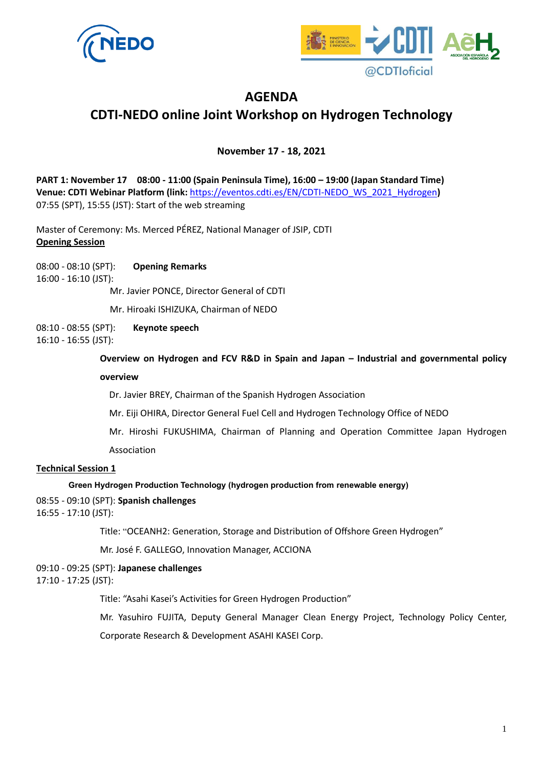



# **AGENDA CDTI-NEDO online Joint Workshop on Hydrogen Technology**

**November 17 - 18, 2021**

**PART 1: November 17 08:00 - 11:00 (Spain Peninsula Time), 16:00 – 19:00 (Japan Standard Time) Venue: CDTI Webinar Platform (link:** [https://eventos.cdti.es/EN/CDTI-NEDO\\_WS\\_2021\\_Hydrogen](https://eventos.cdti.es/EN/CDTI-NEDO_WS_2021_Hydrogen)**)** 07:55 (SPT), 15:55 (JST): Start of the web streaming

Master of Ceremony: Ms. Merced PÉREZ, National Manager of JSIP, CDTI **Opening Session** 

08:00 - 08:10 (SPT): **Opening Remarks** 16:00 - 16:10 (JST):

Mr. Javier PONCE, Director General of CDTI

Mr. Hiroaki ISHIZUKA, Chairman of NEDO

08:10 - 08:55 (SPT): **Keynote speech**

16:10 - 16:55 (JST):

**Overview on Hydrogen and FCV R&D in Spain and Japan – Industrial and governmental policy** 

#### **overview**

Dr. Javier BREY, Chairman of the Spanish Hydrogen Association

Mr. Eiji OHIRA, Director General Fuel Cell and Hydrogen Technology Office of NEDO

Mr. Hiroshi FUKUSHIMA, Chairman of Planning and Operation Committee Japan Hydrogen Association

### **Technical Session 1**

#### **Green Hydrogen Production Technology (hydrogen production from renewable energy)**

08:55 - 09:10 (SPT): **Spanish challenges**

16:55 - 17:10 (JST):

Title: "OCEANH2: Generation, Storage and Distribution of Offshore Green Hydrogen"

Mr. José F. GALLEGO, Innovation Manager, ACCIONA

09:10 - 09:25 (SPT): **Japanese challenges**

17:10 - 17:25 (JST):

Title: "Asahi Kasei's Activities for Green Hydrogen Production"

Mr. Yasuhiro FUJITA, Deputy General Manager Clean Energy Project, Technology Policy Center,

Corporate Research & Development ASAHI KASEI Corp.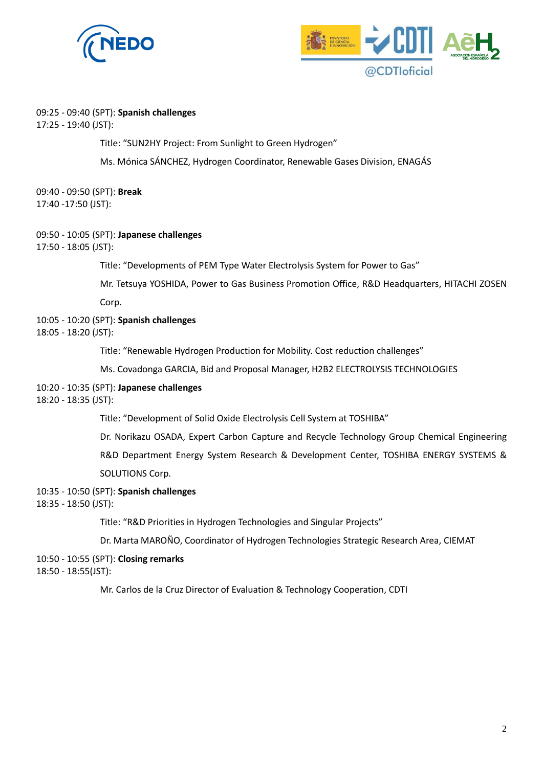



#### 09:25 - 09:40 (SPT): **Spanish challenges**

17:25 - 19:40 (JST):

Title: "SUN2HY Project: From Sunlight to Green Hydrogen"

Ms. Mónica SÁNCHEZ, Hydrogen Coordinator, Renewable Gases Division, ENAGÁS

09:40 - 09:50 (SPT): **Break** 17:40 -17:50 (JST):

# 09:50 - 10:05 (SPT): **Japanese challenges**

17:50 - 18:05 (JST):

Title: "Developments of PEM Type Water Electrolysis System for Power to Gas"

Mr. Tetsuya YOSHIDA, Power to Gas Business Promotion Office, R&D Headquarters, HITACHI ZOSEN

Corp.

#### 10:05 - 10:20 (SPT): **Spanish challenges**

18:05 - 18:20 (JST):

Title: "Renewable Hydrogen Production for Mobility. Cost reduction challenges"

Ms. Covadonga GARCIA, Bid and Proposal Manager, H2B2 ELECTROLYSIS TECHNOLOGIES

#### 10:20 - 10:35 (SPT): **Japanese challenges**

18:20 - 18:35 (JST):

Title: "Development of Solid Oxide Electrolysis Cell System at TOSHIBA"

Dr. Norikazu OSADA, Expert Carbon Capture and Recycle Technology Group Chemical Engineering

R&D Department Energy System Research & Development Center, TOSHIBA ENERGY SYSTEMS &

SOLUTIONS Corp.

10:35 - 10:50 (SPT): **Spanish challenges**

18:35 - 18:50 (JST):

Title: "R&D Priorities in Hydrogen Technologies and Singular Projects"

Dr. Marta MAROÑO, Coordinator of Hydrogen Technologies Strategic Research Area, CIEMAT

#### 10:50 - 10:55 (SPT): **Closing remarks**

18:50 - 18:55(JST):

Mr. Carlos de la Cruz Director of Evaluation & Technology Cooperation, CDTI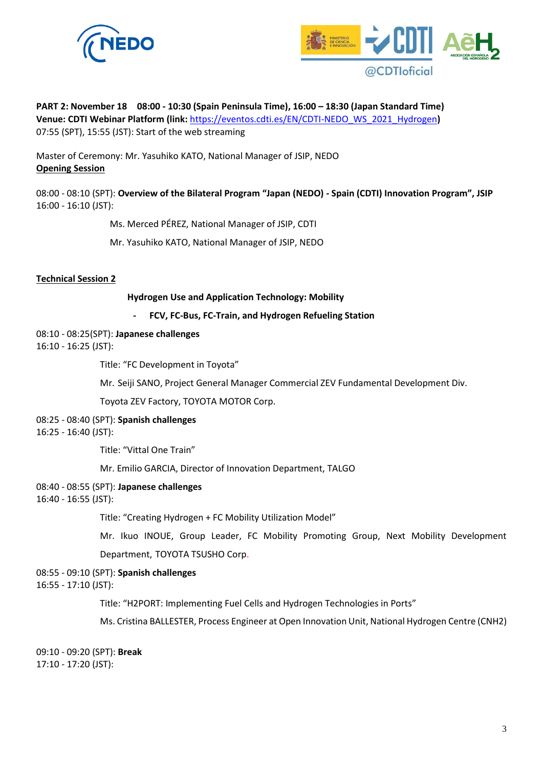



**PART 2: November 18 08:00 - 10:30 (Spain Peninsula Time), 16:00 – 18:30 (Japan Standard Time) Venue: CDTI Webinar Platform (link:** [https://eventos.cdti.es/EN/CDTI-NEDO\\_WS\\_2021\\_Hydrogen](https://eventos.cdti.es/EN/CDTI-NEDO_WS_2021_Hydrogen)**)** 07:55 (SPT), 15:55 (JST): Start of the web streaming

Master of Ceremony: Mr. Yasuhiko KATO, National Manager of JSIP, NEDO **Opening Session** 

08:00 - 08:10 (SPT): **Overview of the Bilateral Program "Japan (NEDO) - Spain (CDTI) Innovation Program", JSIP** 16:00 - 16:10 (JST):

Ms. Merced PÉREZ, National Manager of JSIP, CDTI

Mr. Yasuhiko KATO, National Manager of JSIP, NEDO

#### **Technical Session 2**

**Hydrogen Use and Application Technology: Mobility**

**- FCV, FC-Bus, FC-Train, and Hydrogen Refueling Station**

08:10 - 08:25(SPT): **Japanese challenges**

16:10 - 16:25 (JST):

Title: "FC Development in Toyota"

Mr. Seiji SANO, Project General Manager Commercial ZEV Fundamental Development Div.

Toyota ZEV Factory, TOYOTA MOTOR Corp.

08:25 - 08:40 (SPT): **Spanish challenges**

16:25 - 16:40 (JST):

Title: "Vittal One Train"

Mr. Emilio GARCIA, Director of Innovation Department, TALGO

- 08:40 08:55 (SPT): **Japanese challenges**
- 16:40 16:55 (JST):

Title: "Creating Hydrogen + FC Mobility Utilization Model"

Mr. Ikuo INOUE, Group Leader, FC Mobility Promoting Group, Next Mobility Development

Department, TOYOTA TSUSHO Corp.

08:55 - 09:10 (SPT): **Spanish challenges**

16:55 - 17:10 (JST):

Title: "H2PORT: Implementing Fuel Cells and Hydrogen Technologies in Ports"

Ms. Cristina BALLESTER, Process Engineer at Open Innovation Unit, National Hydrogen Centre (CNH2)

09:10 - 09:20 (SPT): **Break** 17:10 - 17:20 (JST):